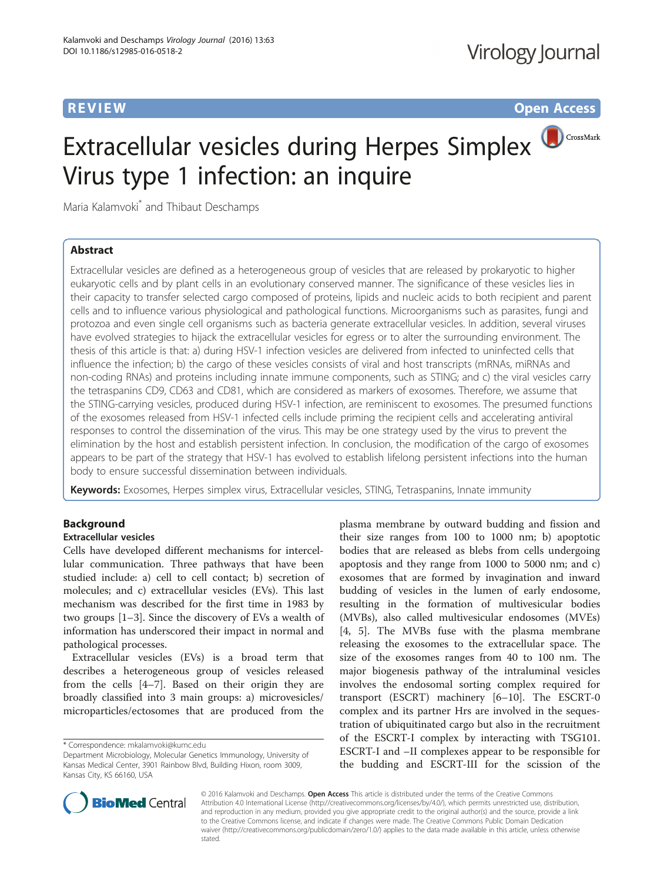**REVIEW CONSTRUCTION CONSTRUCTION CONSTRUCTS** 

# Extracellular vesicles during Herpes Simplex **OCCOSSMark** Virus type 1 infection: an inquire

Maria Kalamvoki\* and Thibaut Deschamps

# Abstract

Extracellular vesicles are defined as a heterogeneous group of vesicles that are released by prokaryotic to higher eukaryotic cells and by plant cells in an evolutionary conserved manner. The significance of these vesicles lies in their capacity to transfer selected cargo composed of proteins, lipids and nucleic acids to both recipient and parent cells and to influence various physiological and pathological functions. Microorganisms such as parasites, fungi and protozoa and even single cell organisms such as bacteria generate extracellular vesicles. In addition, several viruses have evolved strategies to hijack the extracellular vesicles for egress or to alter the surrounding environment. The thesis of this article is that: a) during HSV-1 infection vesicles are delivered from infected to uninfected cells that influence the infection; b) the cargo of these vesicles consists of viral and host transcripts (mRNAs, miRNAs and non-coding RNAs) and proteins including innate immune components, such as STING; and c) the viral vesicles carry the tetraspanins CD9, CD63 and CD81, which are considered as markers of exosomes. Therefore, we assume that the STING-carrying vesicles, produced during HSV-1 infection, are reminiscent to exosomes. The presumed functions of the exosomes released from HSV-1 infected cells include priming the recipient cells and accelerating antiviral responses to control the dissemination of the virus. This may be one strategy used by the virus to prevent the elimination by the host and establish persistent infection. In conclusion, the modification of the cargo of exosomes appears to be part of the strategy that HSV-1 has evolved to establish lifelong persistent infections into the human body to ensure successful dissemination between individuals.

Keywords: Exosomes, Herpes simplex virus, Extracellular vesicles, STING, Tetraspanins, Innate immunity

# Background

### Extracellular vesicles

Cells have developed different mechanisms for intercellular communication. Three pathways that have been studied include: a) cell to cell contact; b) secretion of molecules; and c) extracellular vesicles (EVs). This last mechanism was described for the first time in 1983 by two groups [\[1](#page-8-0)–[3\]](#page-8-0). Since the discovery of EVs a wealth of information has underscored their impact in normal and pathological processes.

Extracellular vesicles (EVs) is a broad term that describes a heterogeneous group of vesicles released from the cells [[4](#page-8-0)–[7](#page-8-0)]. Based on their origin they are broadly classified into 3 main groups: a) microvesicles/ microparticles/ectosomes that are produced from the

plasma membrane by outward budding and fission and their size ranges from 100 to 1000 nm; b) apoptotic bodies that are released as blebs from cells undergoing apoptosis and they range from 1000 to 5000 nm; and c) exosomes that are formed by invagination and inward budding of vesicles in the lumen of early endosome, resulting in the formation of multivesicular bodies (MVBs), also called multivesicular endosomes (MVEs) [[4, 5](#page-8-0)]. The MVBs fuse with the plasma membrane releasing the exosomes to the extracellular space. The size of the exosomes ranges from 40 to 100 nm. The major biogenesis pathway of the intraluminal vesicles involves the endosomal sorting complex required for transport (ESCRT) machinery [\[6](#page-8-0)–[10\]](#page-8-0). The ESCRT-0 complex and its partner Hrs are involved in the sequestration of ubiquitinated cargo but also in the recruitment of the ESCRT-I complex by interacting with TSG101. ESCRT-I and –II complexes appear to be responsible for the budding and ESCRT-III for the scission of the



© 2016 Kalamvoki and Deschamps. Open Access This article is distributed under the terms of the Creative Commons Attribution 4.0 International License [\(http://creativecommons.org/licenses/by/4.0/](http://creativecommons.org/licenses/by/4.0/)), which permits unrestricted use, distribution, and reproduction in any medium, provided you give appropriate credit to the original author(s) and the source, provide a link to the Creative Commons license, and indicate if changes were made. The Creative Commons Public Domain Dedication waiver [\(http://creativecommons.org/publicdomain/zero/1.0/\)](http://creativecommons.org/publicdomain/zero/1.0/) applies to the data made available in this article, unless otherwise stated

<sup>\*</sup> Correspondence: [mkalamvoki@kumc.edu](mailto:mkalamvoki@kumc.edu)

Department Microbiology, Molecular Genetics Immunology, University of Kansas Medical Center, 3901 Rainbow Blvd, Building Hixon, room 3009, Kansas City, KS 66160, USA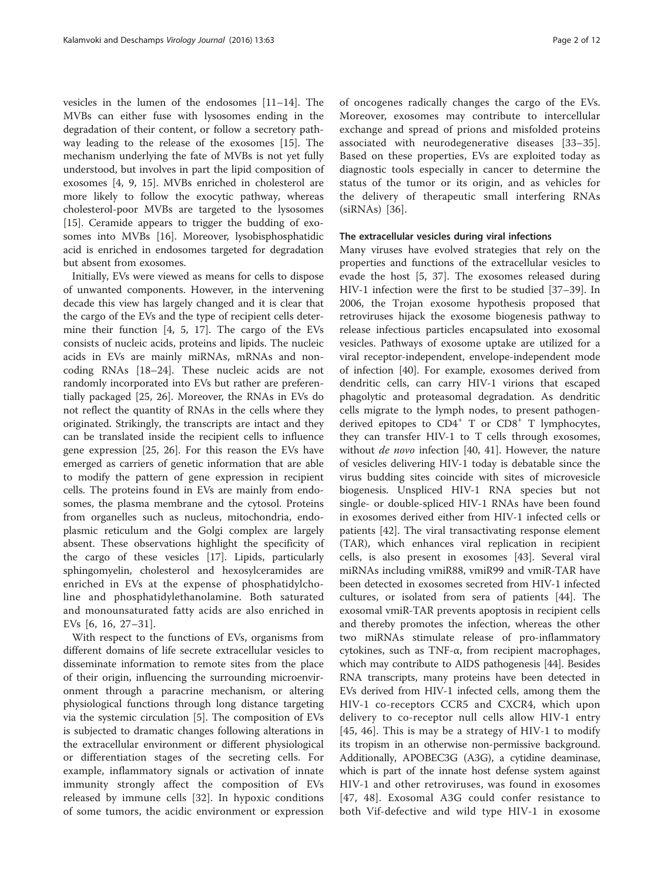vesicles in the lumen of the endosomes [\[11](#page-8-0)–[14](#page-8-0)]. The MVBs can either fuse with lysosomes ending in the degradation of their content, or follow a secretory pathway leading to the release of the exosomes [\[15](#page-8-0)]. The mechanism underlying the fate of MVBs is not yet fully understood, but involves in part the lipid composition of exosomes [[4, 9](#page-8-0), [15\]](#page-8-0). MVBs enriched in cholesterol are more likely to follow the exocytic pathway, whereas cholesterol-poor MVBs are targeted to the lysosomes [[15\]](#page-8-0). Ceramide appears to trigger the budding of exosomes into MVBs [\[16](#page-8-0)]. Moreover, lysobisphosphatidic acid is enriched in endosomes targeted for degradation but absent from exosomes.

Initially, EVs were viewed as means for cells to dispose of unwanted components. However, in the intervening decade this view has largely changed and it is clear that the cargo of the EVs and the type of recipient cells determine their function [[4, 5, 17](#page-8-0)]. The cargo of the EVs consists of nucleic acids, proteins and lipids. The nucleic acids in EVs are mainly miRNAs, mRNAs and noncoding RNAs [\[18](#page-8-0)–[24\]](#page-9-0). These nucleic acids are not randomly incorporated into EVs but rather are preferentially packaged [[25, 26](#page-9-0)]. Moreover, the RNAs in EVs do not reflect the quantity of RNAs in the cells where they originated. Strikingly, the transcripts are intact and they can be translated inside the recipient cells to influence gene expression [[25](#page-9-0), [26\]](#page-9-0). For this reason the EVs have emerged as carriers of genetic information that are able to modify the pattern of gene expression in recipient cells. The proteins found in EVs are mainly from endosomes, the plasma membrane and the cytosol. Proteins from organelles such as nucleus, mitochondria, endoplasmic reticulum and the Golgi complex are largely absent. These observations highlight the specificity of the cargo of these vesicles [\[17](#page-8-0)]. Lipids, particularly sphingomyelin, cholesterol and hexosylceramides are enriched in EVs at the expense of phosphatidylcholine and phosphatidylethanolamine. Both saturated and monounsaturated fatty acids are also enriched in EVs [[6, 16](#page-8-0), [27](#page-9-0)–[31](#page-9-0)].

With respect to the functions of EVs, organisms from different domains of life secrete extracellular vesicles to disseminate information to remote sites from the place of their origin, influencing the surrounding microenvironment through a paracrine mechanism, or altering physiological functions through long distance targeting via the systemic circulation [\[5](#page-8-0)]. The composition of EVs is subjected to dramatic changes following alterations in the extracellular environment or different physiological or differentiation stages of the secreting cells. For example, inflammatory signals or activation of innate immunity strongly affect the composition of EVs released by immune cells [[32\]](#page-9-0). In hypoxic conditions of some tumors, the acidic environment or expression of oncogenes radically changes the cargo of the EVs. Moreover, exosomes may contribute to intercellular exchange and spread of prions and misfolded proteins associated with neurodegenerative diseases [\[33](#page-9-0)–[35](#page-9-0)]. Based on these properties, EVs are exploited today as diagnostic tools especially in cancer to determine the status of the tumor or its origin, and as vehicles for the delivery of therapeutic small interfering RNAs (siRNAs) [[36\]](#page-9-0).

#### The extracellular vesicles during viral infections

Many viruses have evolved strategies that rely on the properties and functions of the extracellular vesicles to evade the host [\[5,](#page-8-0) [37\]](#page-9-0). The exosomes released during HIV-1 infection were the first to be studied [\[37](#page-9-0)–[39\]](#page-9-0). In 2006, the Trojan exosome hypothesis proposed that retroviruses hijack the exosome biogenesis pathway to release infectious particles encapsulated into exosomal vesicles. Pathways of exosome uptake are utilized for a viral receptor-independent, envelope-independent mode of infection [\[40\]](#page-9-0). For example, exosomes derived from dendritic cells, can carry HIV-1 virions that escaped phagolytic and proteasomal degradation. As dendritic cells migrate to the lymph nodes, to present pathogenderived epitopes to  $CD4^+$  T or  $CD8^+$  T lymphocytes, they can transfer HIV-1 to T cells through exosomes, without *de novo* infection [[40, 41\]](#page-9-0). However, the nature of vesicles delivering HIV-1 today is debatable since the virus budding sites coincide with sites of microvesicle biogenesis. Unspliced HIV-1 RNA species but not single- or double-spliced HIV-1 RNAs have been found in exosomes derived either from HIV-1 infected cells or patients [[42](#page-9-0)]. The viral transactivating response element (TAR), which enhances viral replication in recipient cells, is also present in exosomes [\[43](#page-9-0)]. Several viral miRNAs including vmiR88, vmiR99 and vmiR-TAR have been detected in exosomes secreted from HIV-1 infected cultures, or isolated from sera of patients [\[44](#page-9-0)]. The exosomal vmiR-TAR prevents apoptosis in recipient cells and thereby promotes the infection, whereas the other two miRNAs stimulate release of pro-inflammatory cytokines, such as TNF-α, from recipient macrophages, which may contribute to AIDS pathogenesis [\[44\]](#page-9-0). Besides RNA transcripts, many proteins have been detected in EVs derived from HIV-1 infected cells, among them the HIV-1 co-receptors CCR5 and CXCR4, which upon delivery to co-receptor null cells allow HIV-1 entry [[45](#page-9-0), [46](#page-9-0)]. This is may be a strategy of HIV-1 to modify its tropism in an otherwise non-permissive background. Additionally, APOBEC3G (A3G), a cytidine deaminase, which is part of the innate host defense system against HIV-1 and other retroviruses, was found in exosomes [[47](#page-9-0), [48\]](#page-9-0). Exosomal A3G could confer resistance to both Vif-defective and wild type HIV-1 in exosome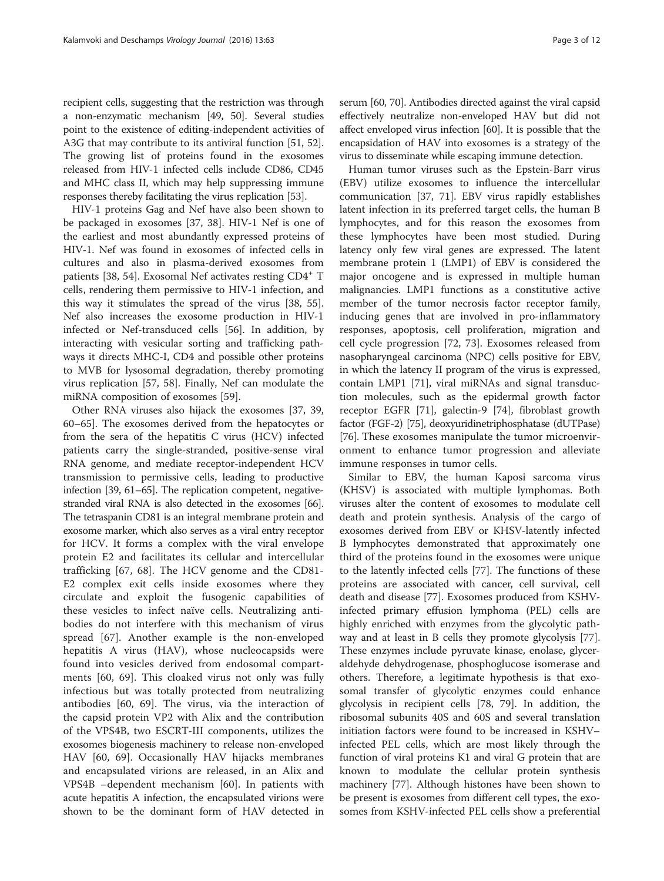recipient cells, suggesting that the restriction was through a non-enzymatic mechanism [[49](#page-9-0), [50\]](#page-9-0). Several studies point to the existence of editing-independent activities of A3G that may contribute to its antiviral function [[51](#page-9-0), [52](#page-9-0)]. The growing list of proteins found in the exosomes released from HIV-1 infected cells include CD86, CD45 and MHC class II, which may help suppressing immune responses thereby facilitating the virus replication [[53](#page-9-0)].

HIV-1 proteins Gag and Nef have also been shown to be packaged in exosomes [\[37](#page-9-0), [38\]](#page-9-0). HIV-1 Nef is one of the earliest and most abundantly expressed proteins of HIV-1. Nef was found in exosomes of infected cells in cultures and also in plasma-derived exosomes from patients [\[38](#page-9-0), [54](#page-9-0)]. Exosomal Nef activates resting CD4<sup>+</sup> T cells, rendering them permissive to HIV-1 infection, and this way it stimulates the spread of the virus [[38, 55](#page-9-0)]. Nef also increases the exosome production in HIV-1 infected or Nef-transduced cells [[56](#page-9-0)]. In addition, by interacting with vesicular sorting and trafficking pathways it directs MHC-I, CD4 and possible other proteins to MVB for lysosomal degradation, thereby promoting virus replication [[57, 58\]](#page-9-0). Finally, Nef can modulate the miRNA composition of exosomes [[59\]](#page-9-0).

Other RNA viruses also hijack the exosomes [\[37](#page-9-0), [39](#page-9-0), [60](#page-9-0)–[65](#page-9-0)]. The exosomes derived from the hepatocytes or from the sera of the hepatitis C virus (HCV) infected patients carry the single-stranded, positive-sense viral RNA genome, and mediate receptor-independent HCV transmission to permissive cells, leading to productive infection [\[39, 61](#page-9-0)–[65](#page-9-0)]. The replication competent, negativestranded viral RNA is also detected in the exosomes [\[66](#page-9-0)]. The tetraspanin CD81 is an integral membrane protein and exosome marker, which also serves as a viral entry receptor for HCV. It forms a complex with the viral envelope protein E2 and facilitates its cellular and intercellular trafficking [[67,](#page-9-0) [68](#page-10-0)]. The HCV genome and the CD81- E2 complex exit cells inside exosomes where they circulate and exploit the fusogenic capabilities of these vesicles to infect naïve cells. Neutralizing antibodies do not interfere with this mechanism of virus spread [\[67](#page-9-0)]. Another example is the non-enveloped hepatitis A virus (HAV), whose nucleocapsids were found into vesicles derived from endosomal compartments [\[60](#page-9-0), [69](#page-10-0)]. This cloaked virus not only was fully infectious but was totally protected from neutralizing antibodies [[60,](#page-9-0) [69](#page-10-0)]. The virus, via the interaction of the capsid protein VP2 with Alix and the contribution of the VPS4B, two ESCRT-III components, utilizes the exosomes biogenesis machinery to release non-enveloped HAV [\[60](#page-9-0), [69\]](#page-10-0). Occasionally HAV hijacks membranes and encapsulated virions are released, in an Alix and VPS4B –dependent mechanism [\[60](#page-9-0)]. In patients with acute hepatitis A infection, the encapsulated virions were shown to be the dominant form of HAV detected in serum [\[60,](#page-9-0) [70](#page-10-0)]. Antibodies directed against the viral capsid effectively neutralize non-enveloped HAV but did not affect enveloped virus infection [\[60\]](#page-9-0). It is possible that the encapsidation of HAV into exosomes is a strategy of the virus to disseminate while escaping immune detection.

Human tumor viruses such as the Epstein-Barr virus (EBV) utilize exosomes to influence the intercellular communication [\[37](#page-9-0), [71](#page-10-0)]. EBV virus rapidly establishes latent infection in its preferred target cells, the human B lymphocytes, and for this reason the exosomes from these lymphocytes have been most studied. During latency only few viral genes are expressed. The latent membrane protein 1 (LMP1) of EBV is considered the major oncogene and is expressed in multiple human malignancies. LMP1 functions as a constitutive active member of the tumor necrosis factor receptor family, inducing genes that are involved in pro-inflammatory responses, apoptosis, cell proliferation, migration and cell cycle progression [[72](#page-10-0), [73\]](#page-10-0). Exosomes released from nasopharyngeal carcinoma (NPC) cells positive for EBV, in which the latency II program of the virus is expressed, contain LMP1 [\[71\]](#page-10-0), viral miRNAs and signal transduction molecules, such as the epidermal growth factor receptor EGFR [[71](#page-10-0)], galectin-9 [[74](#page-10-0)], fibroblast growth factor (FGF-2) [[75](#page-10-0)], deoxyuridinetriphosphatase (dUTPase) [[76](#page-10-0)]. These exosomes manipulate the tumor microenvironment to enhance tumor progression and alleviate immune responses in tumor cells.

Similar to EBV, the human Kaposi sarcoma virus (KHSV) is associated with multiple lymphomas. Both viruses alter the content of exosomes to modulate cell death and protein synthesis. Analysis of the cargo of exosomes derived from EBV or KHSV-latently infected B lymphocytes demonstrated that approximately one third of the proteins found in the exosomes were unique to the latently infected cells [[77](#page-10-0)]. The functions of these proteins are associated with cancer, cell survival, cell death and disease [\[77\]](#page-10-0). Exosomes produced from KSHVinfected primary effusion lymphoma (PEL) cells are highly enriched with enzymes from the glycolytic pathway and at least in B cells they promote glycolysis [\[77](#page-10-0)]. These enzymes include pyruvate kinase, enolase, glyceraldehyde dehydrogenase, phosphoglucose isomerase and others. Therefore, a legitimate hypothesis is that exosomal transfer of glycolytic enzymes could enhance glycolysis in recipient cells [[78, 79](#page-10-0)]. In addition, the ribosomal subunits 40S and 60S and several translation initiation factors were found to be increased in KSHV– infected PEL cells, which are most likely through the function of viral proteins K1 and viral G protein that are known to modulate the cellular protein synthesis machinery [[77](#page-10-0)]. Although histones have been shown to be present is exosomes from different cell types, the exosomes from KSHV-infected PEL cells show a preferential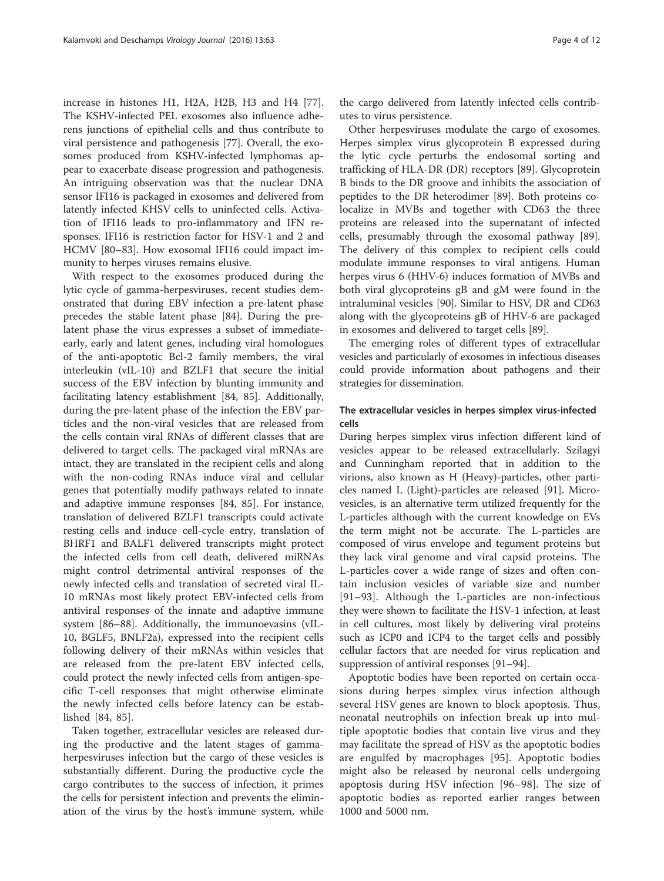increase in histones H1, H2A, H2B, H3 and H4 [\[77](#page-10-0)]. The KSHV-infected PEL exosomes also influence adherens junctions of epithelial cells and thus contribute to viral persistence and pathogenesis [[77\]](#page-10-0). Overall, the exosomes produced from KSHV-infected lymphomas appear to exacerbate disease progression and pathogenesis. An intriguing observation was that the nuclear DNA sensor IFI16 is packaged in exosomes and delivered from latently infected KHSV cells to uninfected cells. Activation of IFI16 leads to pro-inflammatory and IFN responses. IFI16 is restriction factor for HSV-1 and 2 and HCMV [[80](#page-10-0)–[83](#page-10-0)]. How exosomal IFI16 could impact immunity to herpes viruses remains elusive.

With respect to the exosomes produced during the lytic cycle of gamma-herpesviruses, recent studies demonstrated that during EBV infection a pre-latent phase precedes the stable latent phase [\[84](#page-10-0)]. During the prelatent phase the virus expresses a subset of immediateearly, early and latent genes, including viral homologues of the anti-apoptotic Bcl-2 family members, the viral interleukin (vIL-10) and BZLF1 that secure the initial success of the EBV infection by blunting immunity and facilitating latency establishment [[84, 85](#page-10-0)]. Additionally, during the pre-latent phase of the infection the EBV particles and the non-viral vesicles that are released from the cells contain viral RNAs of different classes that are delivered to target cells. The packaged viral mRNAs are intact, they are translated in the recipient cells and along with the non-coding RNAs induce viral and cellular genes that potentially modify pathways related to innate and adaptive immune responses [\[84](#page-10-0), [85\]](#page-10-0). For instance, translation of delivered BZLF1 transcripts could activate resting cells and induce cell-cycle entry, translation of BHRF1 and BALF1 delivered transcripts might protect the infected cells from cell death, delivered miRNAs might control detrimental antiviral responses of the newly infected cells and translation of secreted viral IL-10 mRNAs most likely protect EBV-infected cells from antiviral responses of the innate and adaptive immune system [\[86](#page-10-0)–[88\]](#page-10-0). Additionally, the immunoevasins (vIL-10, BGLF5, BNLF2a), expressed into the recipient cells following delivery of their mRNAs within vesicles that are released from the pre-latent EBV infected cells, could protect the newly infected cells from antigen-specific T-cell responses that might otherwise eliminate the newly infected cells before latency can be established [\[84](#page-10-0), [85](#page-10-0)].

Taken together, extracellular vesicles are released during the productive and the latent stages of gammaherpesviruses infection but the cargo of these vesicles is substantially different. During the productive cycle the cargo contributes to the success of infection, it primes the cells for persistent infection and prevents the elimination of the virus by the host's immune system, while the cargo delivered from latently infected cells contributes to virus persistence.

Other herpesviruses modulate the cargo of exosomes. Herpes simplex virus glycoprotein B expressed during the lytic cycle perturbs the endosomal sorting and trafficking of HLA-DR (DR) receptors [\[89\]](#page-10-0). Glycoprotein B binds to the DR groove and inhibits the association of peptides to the DR heterodimer [[89\]](#page-10-0). Both proteins colocalize in MVBs and together with CD63 the three proteins are released into the supernatant of infected cells, presumably through the exosomal pathway [\[89](#page-10-0)]. The delivery of this complex to recipient cells could modulate immune responses to viral antigens. Human herpes virus 6 (HHV-6) induces formation of MVBs and both viral glycoproteins gB and gM were found in the intraluminal vesicles [[90\]](#page-10-0). Similar to HSV, DR and CD63 along with the glycoproteins gB of HHV-6 are packaged in exosomes and delivered to target cells [\[89](#page-10-0)].

The emerging roles of different types of extracellular vesicles and particularly of exosomes in infectious diseases could provide information about pathogens and their strategies for dissemination.

# The extracellular vesicles in herpes simplex virus-infected cells

During herpes simplex virus infection different kind of vesicles appear to be released extracellularly. Szilagyi and Cunningham reported that in addition to the virions, also known as H (Heavy)-particles, other particles named L (Light)-particles are released [\[91\]](#page-10-0). Microvesicles, is an alternative term utilized frequently for the L-particles although with the current knowledge on EVs the term might not be accurate. The L-particles are composed of virus envelope and tegument proteins but they lack viral genome and viral capsid proteins. The L-particles cover a wide range of sizes and often contain inclusion vesicles of variable size and number [[91](#page-10-0)–[93\]](#page-10-0). Although the L-particles are non-infectious they were shown to facilitate the HSV-1 infection, at least in cell cultures, most likely by delivering viral proteins such as ICP0 and ICP4 to the target cells and possibly cellular factors that are needed for virus replication and suppression of antiviral responses [[91](#page-10-0)–[94\]](#page-10-0).

Apoptotic bodies have been reported on certain occasions during herpes simplex virus infection although several HSV genes are known to block apoptosis. Thus, neonatal neutrophils on infection break up into multiple apoptotic bodies that contain live virus and they may facilitate the spread of HSV as the apoptotic bodies are engulfed by macrophages [\[95](#page-10-0)]. Apoptotic bodies might also be released by neuronal cells undergoing apoptosis during HSV infection [[96](#page-10-0)–[98\]](#page-10-0). The size of apoptotic bodies as reported earlier ranges between 1000 and 5000 nm.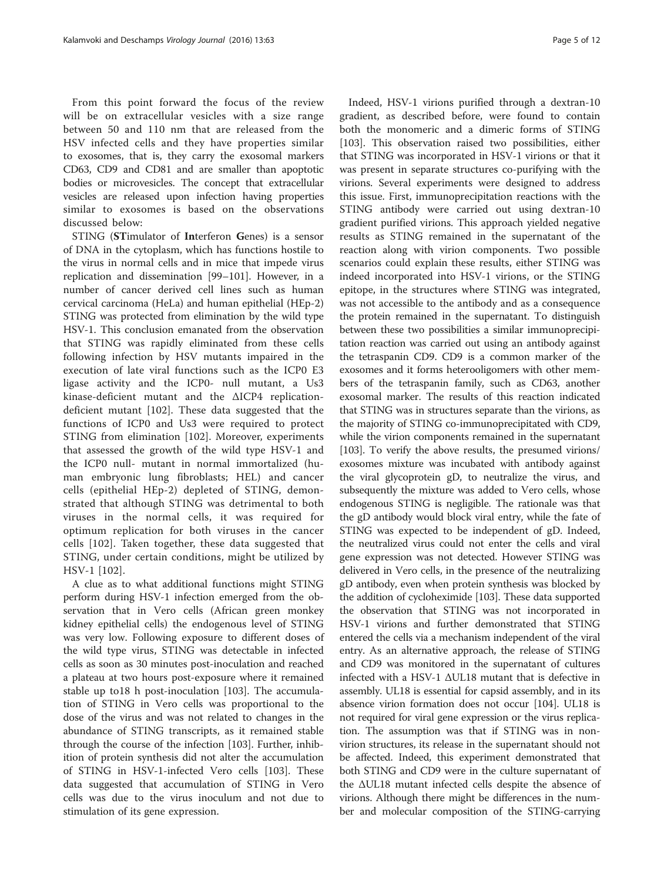From this point forward the focus of the review will be on extracellular vesicles with a size range between 50 and 110 nm that are released from the HSV infected cells and they have properties similar to exosomes, that is, they carry the exosomal markers CD63, CD9 and CD81 and are smaller than apoptotic bodies or microvesicles. The concept that extracellular vesicles are released upon infection having properties similar to exosomes is based on the observations discussed below:

STING (STimulator of Interferon Genes) is a sensor of DNA in the cytoplasm, which has functions hostile to the virus in normal cells and in mice that impede virus replication and dissemination [[99](#page-10-0)–[101](#page-10-0)]. However, in a number of cancer derived cell lines such as human cervical carcinoma (HeLa) and human epithelial (HEp-2) STING was protected from elimination by the wild type HSV-1. This conclusion emanated from the observation that STING was rapidly eliminated from these cells following infection by HSV mutants impaired in the execution of late viral functions such as the ICP0 E3 ligase activity and the ICP0- null mutant, a Us3 kinase-deficient mutant and the ΔICP4 replicationdeficient mutant [[102](#page-10-0)]. These data suggested that the functions of ICP0 and Us3 were required to protect STING from elimination [[102](#page-10-0)]. Moreover, experiments that assessed the growth of the wild type HSV-1 and the ICP0 null- mutant in normal immortalized (human embryonic lung fibroblasts; HEL) and cancer cells (epithelial HEp-2) depleted of STING, demonstrated that although STING was detrimental to both viruses in the normal cells, it was required for optimum replication for both viruses in the cancer cells [[102](#page-10-0)]. Taken together, these data suggested that STING, under certain conditions, might be utilized by HSV-1 [\[102\]](#page-10-0).

A clue as to what additional functions might STING perform during HSV-1 infection emerged from the observation that in Vero cells (African green monkey kidney epithelial cells) the endogenous level of STING was very low. Following exposure to different doses of the wild type virus, STING was detectable in infected cells as soon as 30 minutes post-inoculation and reached a plateau at two hours post-exposure where it remained stable up to18 h post-inoculation [[103\]](#page-10-0). The accumulation of STING in Vero cells was proportional to the dose of the virus and was not related to changes in the abundance of STING transcripts, as it remained stable through the course of the infection [[103](#page-10-0)]. Further, inhibition of protein synthesis did not alter the accumulation of STING in HSV-1-infected Vero cells [\[103](#page-10-0)]. These data suggested that accumulation of STING in Vero cells was due to the virus inoculum and not due to stimulation of its gene expression.

Indeed, HSV-1 virions purified through a dextran-10 gradient, as described before, were found to contain both the monomeric and a dimeric forms of STING [[103\]](#page-10-0). This observation raised two possibilities, either that STING was incorporated in HSV-1 virions or that it was present in separate structures co-purifying with the virions. Several experiments were designed to address this issue. First, immunoprecipitation reactions with the STING antibody were carried out using dextran-10 gradient purified virions. This approach yielded negative results as STING remained in the supernatant of the reaction along with virion components. Two possible scenarios could explain these results, either STING was indeed incorporated into HSV-1 virions, or the STING epitope, in the structures where STING was integrated, was not accessible to the antibody and as a consequence the protein remained in the supernatant. To distinguish between these two possibilities a similar immunoprecipitation reaction was carried out using an antibody against the tetraspanin CD9. CD9 is a common marker of the exosomes and it forms heterooligomers with other members of the tetraspanin family, such as CD63, another exosomal marker. The results of this reaction indicated that STING was in structures separate than the virions, as the majority of STING co-immunoprecipitated with CD9, while the virion components remained in the supernatant [[103](#page-10-0)]. To verify the above results, the presumed virions/ exosomes mixture was incubated with antibody against the viral glycoprotein gD, to neutralize the virus, and subsequently the mixture was added to Vero cells, whose endogenous STING is negligible. The rationale was that the gD antibody would block viral entry, while the fate of STING was expected to be independent of gD. Indeed, the neutralized virus could not enter the cells and viral gene expression was not detected. However STING was delivered in Vero cells, in the presence of the neutralizing gD antibody, even when protein synthesis was blocked by the addition of cycloheximide [\[103\]](#page-10-0). These data supported the observation that STING was not incorporated in HSV-1 virions and further demonstrated that STING entered the cells via a mechanism independent of the viral entry. As an alternative approach, the release of STING and CD9 was monitored in the supernatant of cultures infected with a HSV-1 ΔUL18 mutant that is defective in assembly. UL18 is essential for capsid assembly, and in its absence virion formation does not occur [\[104](#page-10-0)]. UL18 is not required for viral gene expression or the virus replication. The assumption was that if STING was in nonvirion structures, its release in the supernatant should not be affected. Indeed, this experiment demonstrated that both STING and CD9 were in the culture supernatant of the ΔUL18 mutant infected cells despite the absence of virions. Although there might be differences in the number and molecular composition of the STING-carrying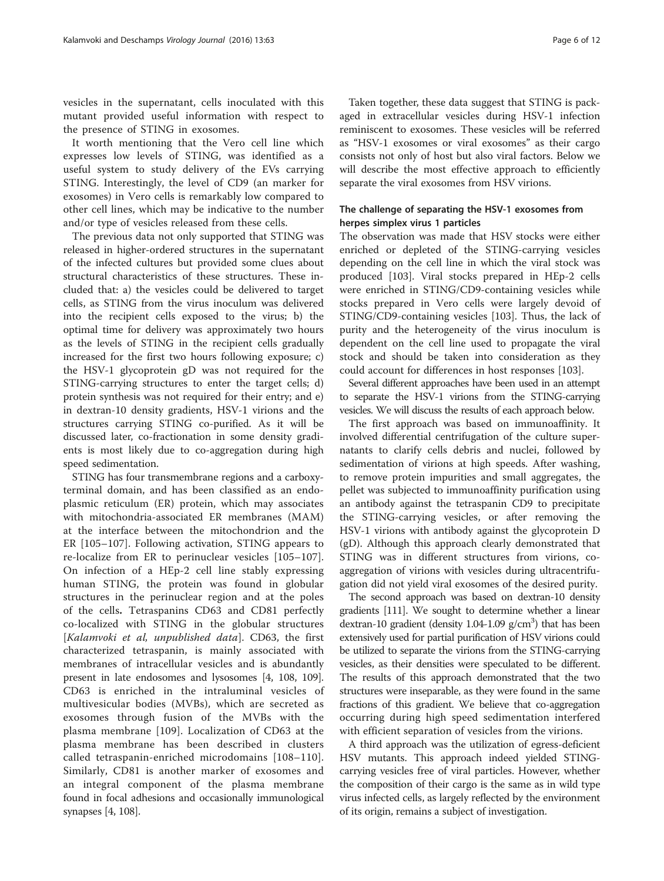vesicles in the supernatant, cells inoculated with this mutant provided useful information with respect to the presence of STING in exosomes.

It worth mentioning that the Vero cell line which expresses low levels of STING, was identified as a useful system to study delivery of the EVs carrying STING. Interestingly, the level of CD9 (an marker for exosomes) in Vero cells is remarkably low compared to other cell lines, which may be indicative to the number and/or type of vesicles released from these cells.

The previous data not only supported that STING was released in higher-ordered structures in the supernatant of the infected cultures but provided some clues about structural characteristics of these structures. These included that: a) the vesicles could be delivered to target cells, as STING from the virus inoculum was delivered into the recipient cells exposed to the virus; b) the optimal time for delivery was approximately two hours as the levels of STING in the recipient cells gradually increased for the first two hours following exposure; c) the HSV-1 glycoprotein gD was not required for the STING-carrying structures to enter the target cells; d) protein synthesis was not required for their entry; and e) in dextran-10 density gradients, HSV-1 virions and the structures carrying STING co-purified. As it will be discussed later, co-fractionation in some density gradients is most likely due to co-aggregation during high speed sedimentation.

STING has four transmembrane regions and a carboxyterminal domain, and has been classified as an endoplasmic reticulum (ER) protein, which may associates with mitochondria-associated ER membranes (MAM) at the interface between the mitochondrion and the ER [[105](#page-10-0)–[107\]](#page-10-0). Following activation, STING appears to re-localize from ER to perinuclear vesicles [[105](#page-10-0)–[107](#page-10-0)]. On infection of a HEp-2 cell line stably expressing human STING, the protein was found in globular structures in the perinuclear region and at the poles of the cells. Tetraspanins CD63 and CD81 perfectly co-localized with STING in the globular structures [Kalamvoki et al, unpublished data]. CD63, the first characterized tetraspanin, is mainly associated with membranes of intracellular vesicles and is abundantly present in late endosomes and lysosomes [\[4](#page-8-0), [108](#page-10-0), [109](#page-10-0)]. CD63 is enriched in the intraluminal vesicles of multivesicular bodies (MVBs), which are secreted as exosomes through fusion of the MVBs with the plasma membrane [\[109\]](#page-10-0). Localization of CD63 at the plasma membrane has been described in clusters called tetraspanin-enriched microdomains [\[108](#page-10-0)–[110](#page-10-0)]. Similarly, CD81 is another marker of exosomes and an integral component of the plasma membrane found in focal adhesions and occasionally immunological synapses [[4,](#page-8-0) [108\]](#page-10-0).

Taken together, these data suggest that STING is packaged in extracellular vesicles during HSV-1 infection reminiscent to exosomes. These vesicles will be referred as "HSV-1 exosomes or viral exosomes" as their cargo consists not only of host but also viral factors. Below we will describe the most effective approach to efficiently separate the viral exosomes from HSV virions.

# The challenge of separating the HSV-1 exosomes from herpes simplex virus 1 particles

The observation was made that HSV stocks were either enriched or depleted of the STING-carrying vesicles depending on the cell line in which the viral stock was produced [[103\]](#page-10-0). Viral stocks prepared in HEp-2 cells were enriched in STING/CD9-containing vesicles while stocks prepared in Vero cells were largely devoid of STING/CD9-containing vesicles [\[103\]](#page-10-0). Thus, the lack of purity and the heterogeneity of the virus inoculum is dependent on the cell line used to propagate the viral stock and should be taken into consideration as they could account for differences in host responses [[103\]](#page-10-0).

Several different approaches have been used in an attempt to separate the HSV-1 virions from the STING-carrying vesicles. We will discuss the results of each approach below.

The first approach was based on immunoaffinity. It involved differential centrifugation of the culture supernatants to clarify cells debris and nuclei, followed by sedimentation of virions at high speeds. After washing, to remove protein impurities and small aggregates, the pellet was subjected to immunoaffinity purification using an antibody against the tetraspanin CD9 to precipitate the STING-carrying vesicles, or after removing the HSV-1 virions with antibody against the glycoprotein D (gD). Although this approach clearly demonstrated that STING was in different structures from virions, coaggregation of virions with vesicles during ultracentrifugation did not yield viral exosomes of the desired purity.

The second approach was based on dextran-10 density gradients [\[111](#page-10-0)]. We sought to determine whether a linear dextran-10 gradient (density 1.04-1.09  $g/cm<sup>3</sup>$ ) that has been extensively used for partial purification of HSV virions could be utilized to separate the virions from the STING-carrying vesicles, as their densities were speculated to be different. The results of this approach demonstrated that the two structures were inseparable, as they were found in the same fractions of this gradient. We believe that co-aggregation occurring during high speed sedimentation interfered with efficient separation of vesicles from the virions.

A third approach was the utilization of egress-deficient HSV mutants. This approach indeed yielded STINGcarrying vesicles free of viral particles. However, whether the composition of their cargo is the same as in wild type virus infected cells, as largely reflected by the environment of its origin, remains a subject of investigation.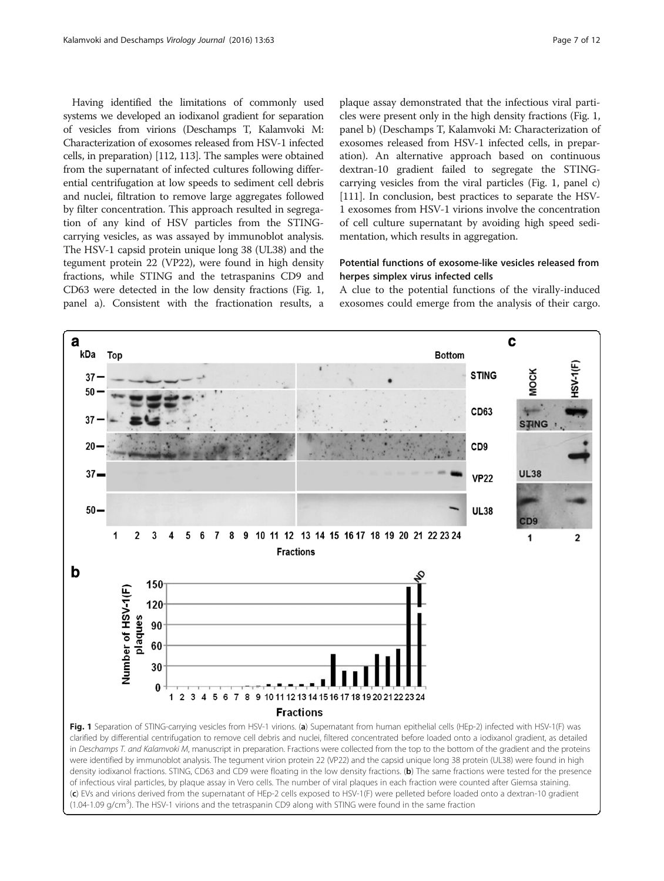Having identified the limitations of commonly used systems we developed an iodixanol gradient for separation of vesicles from virions (Deschamps T, Kalamvoki M: Characterization of exosomes released from HSV-1 infected cells, in preparation) [\[112](#page-10-0), [113](#page-10-0)]. The samples were obtained from the supernatant of infected cultures following differential centrifugation at low speeds to sediment cell debris and nuclei, filtration to remove large aggregates followed by filter concentration. This approach resulted in segregation of any kind of HSV particles from the STINGcarrying vesicles, as was assayed by immunoblot analysis. The HSV-1 capsid protein unique long 38 (UL38) and the tegument protein 22 (VP22), were found in high density fractions, while STING and the tetraspanins CD9 and CD63 were detected in the low density fractions (Fig. 1, panel a). Consistent with the fractionation results, a

plaque assay demonstrated that the infectious viral particles were present only in the high density fractions (Fig. 1, panel b) (Deschamps T, Kalamvoki M: Characterization of exosomes released from HSV-1 infected cells, in preparation). An alternative approach based on continuous dextran-10 gradient failed to segregate the STINGcarrying vesicles from the viral particles (Fig. 1, panel c) [[111](#page-10-0)]. In conclusion, best practices to separate the HSV-1 exosomes from HSV-1 virions involve the concentration of cell culture supernatant by avoiding high speed sedimentation, which results in aggregation.

# Potential functions of exosome-like vesicles released from herpes simplex virus infected cells

A clue to the potential functions of the virally-induced exosomes could emerge from the analysis of their cargo.

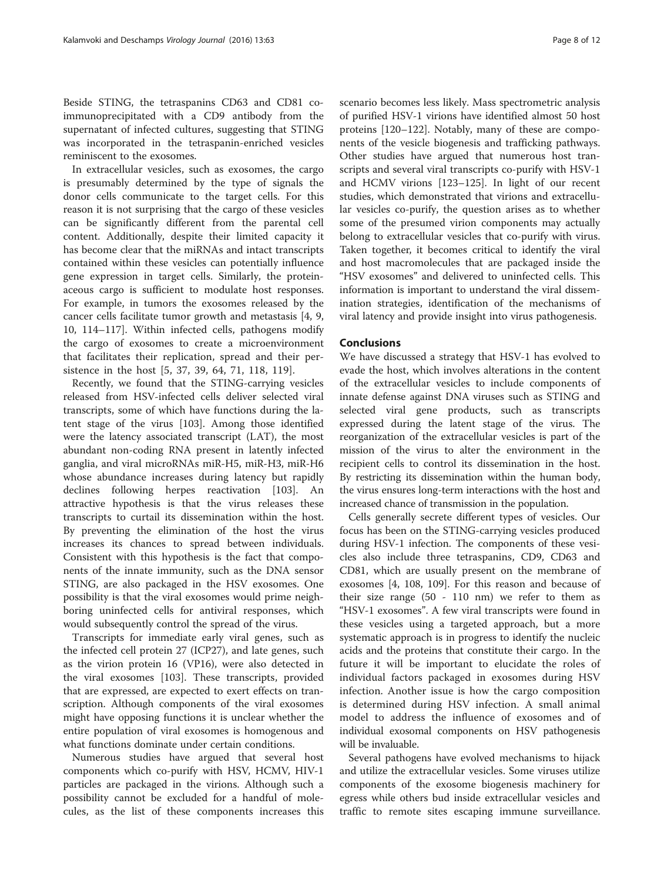Beside STING, the tetraspanins CD63 and CD81 coimmunoprecipitated with a CD9 antibody from the supernatant of infected cultures, suggesting that STING was incorporated in the tetraspanin-enriched vesicles reminiscent to the exosomes.

In extracellular vesicles, such as exosomes, the cargo is presumably determined by the type of signals the donor cells communicate to the target cells. For this reason it is not surprising that the cargo of these vesicles can be significantly different from the parental cell content. Additionally, despite their limited capacity it has become clear that the miRNAs and intact transcripts contained within these vesicles can potentially influence gene expression in target cells. Similarly, the proteinaceous cargo is sufficient to modulate host responses. For example, in tumors the exosomes released by the cancer cells facilitate tumor growth and metastasis [\[4, 9](#page-8-0), [10,](#page-8-0) [114](#page-10-0)–[117\]](#page-11-0). Within infected cells, pathogens modify the cargo of exosomes to create a microenvironment that facilitates their replication, spread and their persistence in the host [\[5](#page-8-0), [37](#page-9-0), [39, 64,](#page-9-0) [71,](#page-10-0) [118](#page-11-0), [119](#page-11-0)].

Recently, we found that the STING-carrying vesicles released from HSV-infected cells deliver selected viral transcripts, some of which have functions during the latent stage of the virus [[103\]](#page-10-0). Among those identified were the latency associated transcript (LAT), the most abundant non-coding RNA present in latently infected ganglia, and viral microRNAs miR-H5, miR-H3, miR-H6 whose abundance increases during latency but rapidly declines following herpes reactivation [[103](#page-10-0)]. An attractive hypothesis is that the virus releases these transcripts to curtail its dissemination within the host. By preventing the elimination of the host the virus increases its chances to spread between individuals. Consistent with this hypothesis is the fact that components of the innate immunity, such as the DNA sensor STING, are also packaged in the HSV exosomes. One possibility is that the viral exosomes would prime neighboring uninfected cells for antiviral responses, which would subsequently control the spread of the virus.

Transcripts for immediate early viral genes, such as the infected cell protein 27 (ICP27), and late genes, such as the virion protein 16 (VP16), were also detected in the viral exosomes [\[103](#page-10-0)]. These transcripts, provided that are expressed, are expected to exert effects on transcription. Although components of the viral exosomes might have opposing functions it is unclear whether the entire population of viral exosomes is homogenous and what functions dominate under certain conditions.

Numerous studies have argued that several host components which co-purify with HSV, HCMV, HIV-1 particles are packaged in the virions. Although such a possibility cannot be excluded for a handful of molecules, as the list of these components increases this scenario becomes less likely. Mass spectrometric analysis of purified HSV-1 virions have identified almost 50 host proteins [\[120](#page-11-0)–[122](#page-11-0)]. Notably, many of these are components of the vesicle biogenesis and trafficking pathways. Other studies have argued that numerous host transcripts and several viral transcripts co-purify with HSV-1 and HCMV virions [\[123](#page-11-0)–[125\]](#page-11-0). In light of our recent studies, which demonstrated that virions and extracellular vesicles co-purify, the question arises as to whether some of the presumed virion components may actually belong to extracellular vesicles that co-purify with virus. Taken together, it becomes critical to identify the viral and host macromolecules that are packaged inside the "HSV exosomes" and delivered to uninfected cells. This information is important to understand the viral dissemination strategies, identification of the mechanisms of viral latency and provide insight into virus pathogenesis.

# Conclusions

We have discussed a strategy that HSV-1 has evolved to evade the host, which involves alterations in the content of the extracellular vesicles to include components of innate defense against DNA viruses such as STING and selected viral gene products, such as transcripts expressed during the latent stage of the virus. The reorganization of the extracellular vesicles is part of the mission of the virus to alter the environment in the recipient cells to control its dissemination in the host. By restricting its dissemination within the human body, the virus ensures long-term interactions with the host and increased chance of transmission in the population.

Cells generally secrete different types of vesicles. Our focus has been on the STING-carrying vesicles produced during HSV-1 infection. The components of these vesicles also include three tetraspanins, CD9, CD63 and CD81, which are usually present on the membrane of exosomes [[4](#page-8-0), [108](#page-10-0), [109](#page-10-0)]. For this reason and because of their size range  $(50 - 110)$  nm) we refer to them as "HSV-1 exosomes". A few viral transcripts were found in these vesicles using a targeted approach, but a more systematic approach is in progress to identify the nucleic acids and the proteins that constitute their cargo. In the future it will be important to elucidate the roles of individual factors packaged in exosomes during HSV infection. Another issue is how the cargo composition is determined during HSV infection. A small animal model to address the influence of exosomes and of individual exosomal components on HSV pathogenesis will be invaluable.

Several pathogens have evolved mechanisms to hijack and utilize the extracellular vesicles. Some viruses utilize components of the exosome biogenesis machinery for egress while others bud inside extracellular vesicles and traffic to remote sites escaping immune surveillance.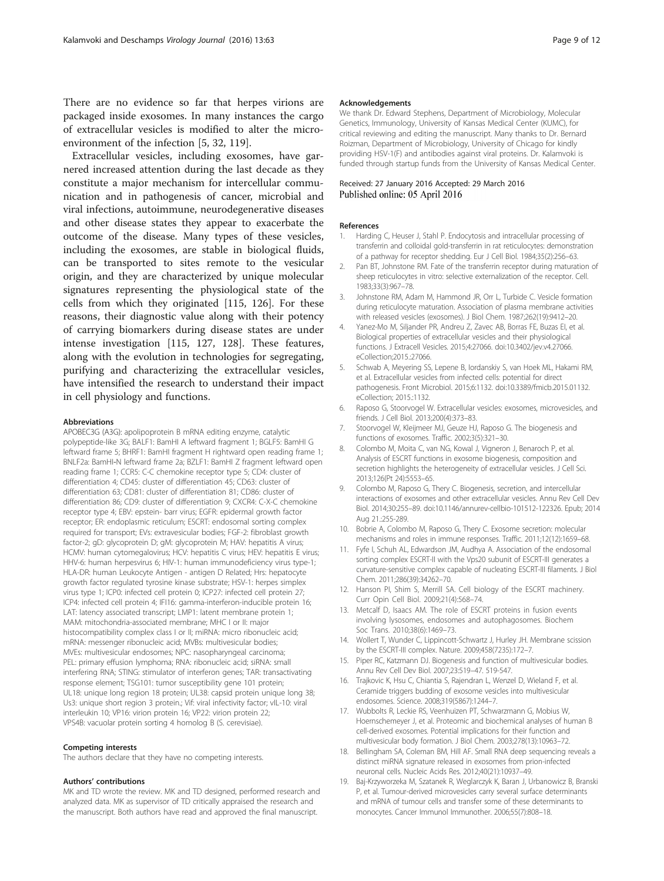<span id="page-8-0"></span>There are no evidence so far that herpes virions are packaged inside exosomes. In many instances the cargo of extracellular vesicles is modified to alter the microenvironment of the infection [5, [32,](#page-9-0) [119](#page-11-0)].

Extracellular vesicles, including exosomes, have garnered increased attention during the last decade as they constitute a major mechanism for intercellular communication and in pathogenesis of cancer, microbial and viral infections, autoimmune, neurodegenerative diseases and other disease states they appear to exacerbate the outcome of the disease. Many types of these vesicles, including the exosomes, are stable in biological fluids, can be transported to sites remote to the vesicular origin, and they are characterized by unique molecular signatures representing the physiological state of the cells from which they originated [\[115, 126\]](#page-11-0). For these reasons, their diagnostic value along with their potency of carrying biomarkers during disease states are under intense investigation [\[115, 127, 128](#page-11-0)]. These features, along with the evolution in technologies for segregating, purifying and characterizing the extracellular vesicles, have intensified the research to understand their impact in cell physiology and functions.

#### Abbreviations

APOBEC3G (A3G): apolipoprotein B mRNA editing enzyme, catalytic polypeptide-like 3G; BALF1: BamHI A leftward fragment 1; BGLF5: BamHI G leftward frame 5; BHRF1: BamHI fragment H rightward open reading frame 1; BNLF2a: BamHI-N leftward frame 2a; BZLF1: BamHI Z fragment leftward open reading frame 1; CCR5: C-C chemokine receptor type 5; CD4: cluster of differentiation 4; CD45: cluster of differentiation 45; CD63: cluster of differentiation 63; CD81: cluster of differentiation 81; CD86: cluster of differentiation 86; CD9: cluster of differentiation 9; CXCR4: C-X-C chemokine receptor type 4; EBV: epstein- barr virus; EGFR: epidermal growth factor receptor; ER: endoplasmic reticulum; ESCRT: endosomal sorting complex required for transport; EVs: extravesicular bodies; FGF-2: fibroblast growth factor-2; gD: glycoprotein D; gM: glycoprotein M; HAV: hepatitis A virus; HCMV: human cytomegalovirus; HCV: hepatitis C virus; HEV: hepatitis E virus; HHV-6: human herpesvirus 6; HIV-1: human immunodeficiency virus type-1; HLA-DR: human Leukocyte Antigen - antigen D Related; Hrs: hepatocyte growth factor regulated tyrosine kinase substrate; HSV-1: herpes simplex virus type 1; ICP0: infected cell protein 0; ICP27: infected cell protein 27; ICP4: infected cell protein 4; IFI16: gamma-interferon-inducible protein 16; LAT: latency associated transcript; LMP1: latent membrane protein 1; MAM: mitochondria-associated membrane; MHC I or II: major histocompatibility complex class I or II; miRNA: micro ribonucleic acid; mRNA: messenger ribonucleic acid; MVBs: multivesicular bodies; MVEs: multivesicular endosomes; NPC: nasopharyngeal carcinoma; PEL: primary effusion lymphoma; RNA: ribonucleic acid; siRNA: small interfering RNA; STING: stimulator of interferon genes; TAR: transactivating response element; TSG101: tumor susceptibility gene 101 protein; UL18: unique long region 18 protein; UL38: capsid protein unique long 38; Us3: unique short region 3 protein.; Vif: viral infectivity factor; vIL-10: viral interleukin 10; VP16: virion protein 16; VP22: virion protein 22; VPS4B: vacuolar protein sorting 4 homolog B (S. cerevisiae).

#### Competing interests

The authors declare that they have no competing interests.

#### Authors' contributions

MK and TD wrote the review. MK and TD designed, performed research and analyzed data. MK as supervisor of TD critically appraised the research and the manuscript. Both authors have read and approved the final manuscript.

#### Acknowledgements

We thank Dr. Edward Stephens, Department of Microbiology, Molecular Genetics, Immunology, University of Kansas Medical Center (KUMC), for critical reviewing and editing the manuscript. Many thanks to Dr. Bernard Roizman, Department of Microbiology, University of Chicago for kindly providing HSV-1(F) and antibodies against viral proteins. Dr. Kalamvoki is funded through startup funds from the University of Kansas Medical Center.

#### Received: 27 January 2016 Accepted: 29 March 2016 Published online: 05 April 2016

#### References

- 1. Harding C, Heuser J, Stahl P. Endocytosis and intracellular processing of transferrin and colloidal gold-transferrin in rat reticulocytes: demonstration of a pathway for receptor shedding. Eur J Cell Biol. 1984;35(2):256–63.
- 2. Pan BT, Johnstone RM. Fate of the transferrin receptor during maturation of sheep reticulocytes in vitro: selective externalization of the receptor. Cell. 1983;33(3):967–78.
- 3. Johnstone RM, Adam M, Hammond JR, Orr L, Turbide C. Vesicle formation during reticulocyte maturation. Association of plasma membrane activities with released vesicles (exosomes). J Biol Chem. 1987;262(19):9412–20.
- 4. Yanez-Mo M, Siljander PR, Andreu Z, Zavec AB, Borras FE, Buzas EI, et al. Biological properties of extracellular vesicles and their physiological functions. J Extracell Vesicles. 2015;4:27066. doi[:10.3402/jev.v4.27066.](http://dx.doi.org/10.3402/jev.v4.27066.eCollection;2015.:27066) [eCollection;2015.:27066.](http://dx.doi.org/10.3402/jev.v4.27066.eCollection;2015.:27066)
- 5. Schwab A, Meyering SS, Lepene B, Iordanskiy S, van Hoek ML, Hakami RM, et al. Extracellular vesicles from infected cells: potential for direct pathogenesis. Front Microbiol. 2015;6:1132. doi:[10.3389/fmicb.2015.01132](http://dx.doi.org/10.3389/fmicb.2015.01132). eCollection; 2015.:1132.
- 6. Raposo G, Stoorvogel W. Extracellular vesicles: exosomes, microvesicles, and friends. J Cell Biol. 2013;200(4):373–83.
- 7. Stoorvogel W, Kleijmeer MJ, Geuze HJ, Raposo G. The biogenesis and functions of exosomes. Traffic. 2002;3(5):321–30.
- 8. Colombo M, Moita C, van NG, Kowal J, Vigneron J, Benaroch P, et al. Analysis of ESCRT functions in exosome biogenesis, composition and secretion highlights the heterogeneity of extracellular vesicles. J Cell Sci. 2013;126(Pt 24):5553–65.
- 9. Colombo M, Raposo G, Thery C. Biogenesis, secretion, and intercellular interactions of exosomes and other extracellular vesicles. Annu Rev Cell Dev Biol. 2014;30:255–89. doi[:10.1146/annurev-cellbio-101512-122326.](http://dx.doi.org/10.1146/annurev-cellbio-101512-122326) Epub; 2014 Aug 21.:255-289.
- 10. Bobrie A, Colombo M, Raposo G, Thery C. Exosome secretion: molecular mechanisms and roles in immune responses. Traffic. 2011;12(12):1659–68.
- 11. Fyfe I, Schuh AL, Edwardson JM, Audhya A. Association of the endosomal sorting complex ESCRT-II with the Vps20 subunit of ESCRT-III generates a curvature-sensitive complex capable of nucleating ESCRT-III filaments. J Biol Chem. 2011;286(39):34262–70.
- 12. Hanson PI, Shim S, Merrill SA. Cell biology of the ESCRT machinery. Curr Opin Cell Biol. 2009;21(4):568–74.
- 13. Metcalf D, Isaacs AM. The role of ESCRT proteins in fusion events involving lysosomes, endosomes and autophagosomes. Biochem Soc Trans. 2010;38(6):1469–73.
- 14. Wollert T, Wunder C, Lippincott-Schwartz J, Hurley JH. Membrane scission by the ESCRT-III complex. Nature. 2009;458(7235):172–7.
- 15. Piper RC, Katzmann DJ. Biogenesis and function of multivesicular bodies. Annu Rev Cell Dev Biol. 2007;23:519–47. 519-547.
- 16. Trajkovic K, Hsu C, Chiantia S, Rajendran L, Wenzel D, Wieland F, et al. Ceramide triggers budding of exosome vesicles into multivesicular endosomes. Science. 2008;319(5867):1244–7.
- 17. Wubbolts R, Leckie RS, Veenhuizen PT, Schwarzmann G, Mobius W, Hoernschemeyer J, et al. Proteomic and biochemical analyses of human B cell-derived exosomes. Potential implications for their function and multivesicular body formation. J Biol Chem. 2003;278(13):10963–72.
- 18. Bellingham SA, Coleman BM, Hill AF. Small RNA deep sequencing reveals a distinct miRNA signature released in exosomes from prion-infected neuronal cells. Nucleic Acids Res. 2012;40(21):10937–49.
- 19. Baj-Krzyworzeka M, Szatanek R, Weglarczyk K, Baran J, Urbanowicz B, Branski P, et al. Tumour-derived microvesicles carry several surface determinants and mRNA of tumour cells and transfer some of these determinants to monocytes. Cancer Immunol Immunother. 2006;55(7):808–18.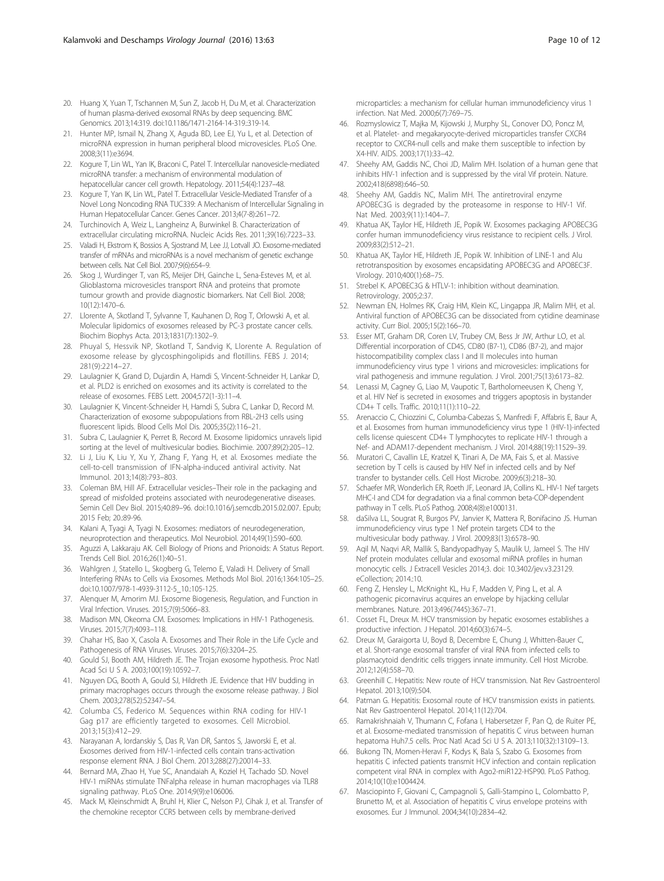- <span id="page-9-0"></span>20. Huang X, Yuan T, Tschannen M, Sun Z, Jacob H, Du M, et al. Characterization of human plasma-derived exosomal RNAs by deep sequencing. BMC Genomics. 2013;14:319. doi[:10.1186/1471-2164-14-319.:319-14.](http://dx.doi.org/10.1186/1471-2164-14-319.:319-14)
- 21. Hunter MP, Ismail N, Zhang X, Aguda BD, Lee EJ, Yu L, et al. Detection of microRNA expression in human peripheral blood microvesicles. PLoS One. 2008;3(11):e3694.
- 22. Kogure T, Lin WL, Yan IK, Braconi C, Patel T. Intercellular nanovesicle-mediated microRNA transfer: a mechanism of environmental modulation of hepatocellular cancer cell growth. Hepatology. 2011;54(4):1237–48.
- 23. Kogure T, Yan IK, Lin WL, Patel T. Extracellular Vesicle-Mediated Transfer of a Novel Long Noncoding RNA TUC339: A Mechanism of Intercellular Signaling in Human Hepatocellular Cancer. Genes Cancer. 2013;4(7-8):261–72.
- 24. Turchinovich A, Weiz L, Langheinz A, Burwinkel B. Characterization of extracellular circulating microRNA. Nucleic Acids Res. 2011;39(16):7223–33.
- 25. Valadi H, Ekstrom K, Bossios A, Sjostrand M, Lee JJ, Lotvall JO. Exosome-mediated transfer of mRNAs and microRNAs is a novel mechanism of genetic exchange between cells. Nat Cell Biol. 2007;9(6):654–9.
- 26. Skog J, Wurdinger T, van RS, Meijer DH, Gainche L, Sena-Esteves M, et al. Glioblastoma microvesicles transport RNA and proteins that promote tumour growth and provide diagnostic biomarkers. Nat Cell Biol. 2008; 10(12):1470–6.
- 27. Llorente A, Skotland T, Sylvanne T, Kauhanen D, Rog T, Orlowski A, et al. Molecular lipidomics of exosomes released by PC-3 prostate cancer cells. Biochim Biophys Acta. 2013;1831(7):1302–9.
- 28. Phuyal S, Hessvik NP, Skotland T, Sandvig K, Llorente A. Regulation of exosome release by glycosphingolipids and flotillins. FEBS J. 2014; 281(9):2214–27.
- 29. Laulagnier K, Grand D, Dujardin A, Hamdi S, Vincent-Schneider H, Lankar D, et al. PLD2 is enriched on exosomes and its activity is correlated to the release of exosomes. FEBS Lett. 2004;572(1-3):11–4.
- 30. Laulagnier K, Vincent-Schneider H, Hamdi S, Subra C, Lankar D, Record M. Characterization of exosome subpopulations from RBL-2H3 cells using fluorescent lipids. Blood Cells Mol Dis. 2005;35(2):116–21.
- 31. Subra C, Laulagnier K, Perret B, Record M. Exosome lipidomics unravels lipid sorting at the level of multivesicular bodies. Biochimie. 2007;89(2):205–12.
- 32. Li J, Liu K, Liu Y, Xu Y, Zhang F, Yang H, et al. Exosomes mediate the cell-to-cell transmission of IFN-alpha-induced antiviral activity. Nat Immunol. 2013;14(8):793–803.
- 33. Coleman BM, Hill AF. Extracellular vesicles–Their role in the packaging and spread of misfolded proteins associated with neurodegenerative diseases. Semin Cell Dev Biol. 2015;40:89–96. doi:[10.1016/j.semcdb.2015.02.007](http://dx.doi.org/10.1016/j.semcdb.2015.02.007). Epub; 2015 Feb; 20.:89-96.
- 34. Kalani A, Tyagi A, Tyagi N. Exosomes: mediators of neurodegeneration, neuroprotection and therapeutics. Mol Neurobiol. 2014;49(1):590–600.
- 35. Aguzzi A, Lakkaraju AK. Cell Biology of Prions and Prionoids: A Status Report. Trends Cell Biol. 2016;26(1):40–51.
- 36. Wahlgren J, Statello L, Skogberg G, Telemo E, Valadi H. Delivery of Small Interfering RNAs to Cells via Exosomes. Methods Mol Biol. 2016;1364:105–25. doi[:10.1007/978-1-4939-3112-5\\_10.:105-125](http://dx.doi.org/10.1007/978-1-4939-3112-5_10.:105-125).
- 37. Alenquer M, Amorim MJ. Exosome Biogenesis, Regulation, and Function in Viral Infection. Viruses. 2015;7(9):5066–83.
- 38. Madison MN, Okeoma CM. Exosomes: Implications in HIV-1 Pathogenesis. Viruses. 2015;7(7):4093–118.
- 39. Chahar HS, Bao X, Casola A. Exosomes and Their Role in the Life Cycle and Pathogenesis of RNA Viruses. Viruses. 2015;7(6):3204–25.
- 40. Gould SJ, Booth AM, Hildreth JE. The Trojan exosome hypothesis. Proc Natl Acad Sci U S A. 2003;100(19):10592–7.
- 41. Nguyen DG, Booth A, Gould SJ, Hildreth JE. Evidence that HIV budding in primary macrophages occurs through the exosome release pathway. J Biol Chem. 2003;278(52):52347–54.
- 42. Columba CS, Federico M. Sequences within RNA coding for HIV-1 Gag p17 are efficiently targeted to exosomes. Cell Microbiol. 2013;15(3):412–29.
- 43. Narayanan A, Iordanskiy S, Das R, Van DR, Santos S, Jaworski E, et al. Exosomes derived from HIV-1-infected cells contain trans-activation response element RNA. J Biol Chem. 2013;288(27):20014–33.
- 44. Bernard MA, Zhao H, Yue SC, Anandaiah A, Koziel H, Tachado SD. Novel HIV-1 miRNAs stimulate TNFalpha release in human macrophages via TLR8 signaling pathway. PLoS One. 2014;9(9):e106006.
- 45. Mack M, Kleinschmidt A, Bruhl H, Klier C, Nelson PJ, Cihak J, et al. Transfer of the chemokine receptor CCR5 between cells by membrane-derived

microparticles: a mechanism for cellular human immunodeficiency virus 1 infection. Nat Med. 2000;6(7):769–75.

- 46. Rozmyslowicz T, Majka M, Kijowski J, Murphy SL, Conover DO, Poncz M, et al. Platelet- and megakaryocyte-derived microparticles transfer CXCR4 receptor to CXCR4-null cells and make them susceptible to infection by X4-HIV. AIDS. 2003;17(1):33–42.
- 47. Sheehy AM, Gaddis NC, Choi JD, Malim MH. Isolation of a human gene that inhibits HIV-1 infection and is suppressed by the viral Vif protein. Nature. 2002;418(6898):646–50.
- 48. Sheehy AM, Gaddis NC, Malim MH. The antiretroviral enzyme APOBEC3G is degraded by the proteasome in response to HIV-1 Vif. Nat Med. 2003;9(11):1404–7.
- 49. Khatua AK, Taylor HE, Hildreth JE, Popik W. Exosomes packaging APOBEC3G confer human immunodeficiency virus resistance to recipient cells. J Virol. 2009;83(2):512–21.
- 50. Khatua AK, Taylor HE, Hildreth JE, Popik W. Inhibition of LINE-1 and Alu retrotransposition by exosomes encapsidating APOBEC3G and APOBEC3F. Virology. 2010;400(1):68–75.
- 51. Strebel K. APOBEC3G & HTLV-1: inhibition without deamination. Retrovirology. 2005;2:37.
- 52. Newman EN, Holmes RK, Craig HM, Klein KC, Lingappa JR, Malim MH, et al. Antiviral function of APOBEC3G can be dissociated from cytidine deaminase activity. Curr Biol. 2005;15(2):166–70.
- 53. Esser MT, Graham DR, Coren LV, Trubey CM, Bess Jr JW, Arthur LO, et al. Differential incorporation of CD45, CD80 (B7-1), CD86 (B7-2), and major histocompatibility complex class I and II molecules into human immunodeficiency virus type 1 virions and microvesicles: implications for viral pathogenesis and immune regulation. J Virol. 2001;75(13):6173–82.
- 54. Lenassi M, Cagney G, Liao M, Vaupotic T, Bartholomeeusen K, Cheng Y, et al. HIV Nef is secreted in exosomes and triggers apoptosis in bystander CD4+ T cells. Traffic. 2010;11(1):110–22.
- 55. Arenaccio C, Chiozzini C, Columba-Cabezas S, Manfredi F, Affabris E, Baur A, et al. Exosomes from human immunodeficiency virus type 1 (HIV-1)-infected cells license quiescent CD4+ T lymphocytes to replicate HIV-1 through a Nef- and ADAM17-dependent mechanism. J Virol. 2014;88(19):11529–39.
- 56. Muratori C, Cavallin LE, Kratzel K, Tinari A, De MA, Fais S, et al. Massive secretion by T cells is caused by HIV Nef in infected cells and by Nef transfer to bystander cells. Cell Host Microbe. 2009;6(3):218–30.
- 57. Schaefer MR, Wonderlich ER, Roeth JF, Leonard JA, Collins KL. HIV-1 Nef targets MHC-I and CD4 for degradation via a final common beta-COP-dependent pathway in T cells. PLoS Pathog. 2008;4(8):e1000131.
- 58. daSilva LL, Sougrat R, Burgos PV, Janvier K, Mattera R, Bonifacino JS. Human immunodeficiency virus type 1 Nef protein targets CD4 to the multivesicular body pathway. J Virol. 2009;83(13):6578–90.
- 59. Aqil M, Naqvi AR, Mallik S, Bandyopadhyay S, Maulik U, Jameel S. The HIV Nef protein modulates cellular and exosomal miRNA profiles in human monocytic cells. J Extracell Vesicles 2014;3. doi: [10.3402/jev.v3.23129](http://dx.doi.org/10.3402/jev.v3.23129). eCollection; 2014.:10.
- 60. Feng Z, Hensley L, McKnight KL, Hu F, Madden V, Ping L, et al. A pathogenic picornavirus acquires an envelope by hijacking cellular membranes. Nature. 2013;496(7445):367–71.
- 61. Cosset FL, Dreux M. HCV transmission by hepatic exosomes establishes a productive infection. J Hepatol. 2014;60(3):674–5.
- 62. Dreux M, Garaigorta U, Boyd B, Decembre E, Chung J, Whitten-Bauer C, et al. Short-range exosomal transfer of viral RNA from infected cells to plasmacytoid dendritic cells triggers innate immunity. Cell Host Microbe. 2012;12(4):558–70.
- 63. Greenhill C. Hepatitis: New route of HCV transmission. Nat Rev Gastroenterol Hepatol. 2013;10(9):504.
- 64. Patman G. Hepatitis: Exosomal route of HCV transmission exists in patients. Nat Rev Gastroenterol Hepatol. 2014;11(12):704.
- 65. Ramakrishnaiah V, Thumann C, Fofana I, Habersetzer F, Pan Q, de Ruiter PE, et al. Exosome-mediated transmission of hepatitis C virus between human hepatoma Huh7.5 cells. Proc Natl Acad Sci U S A. 2013;110(32):13109–13.
- 66. Bukong TN, Momen-Heravi F, Kodys K, Bala S, Szabo G. Exosomes from hepatitis C infected patients transmit HCV infection and contain replication competent viral RNA in complex with Ago2-miR122-HSP90. PLoS Pathog. 2014;10(10):e1004424.
- 67. Masciopinto F, Giovani C, Campagnoli S, Galli-Stampino L, Colombatto P, Brunetto M, et al. Association of hepatitis C virus envelope proteins with exosomes. Eur J Immunol. 2004;34(10):2834–42.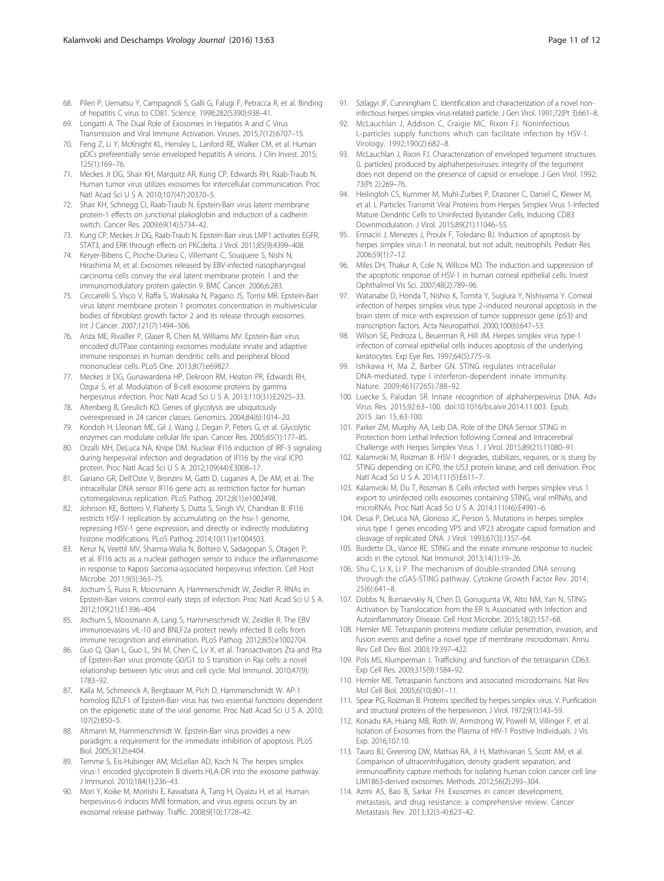- <span id="page-10-0"></span>68. Pileri P, Uematsu Y, Campagnoli S, Galli G, Falugi F, Petracca R, et al. Binding of hepatitis C virus to CD81. Science. 1998;282(5390):938–41.
- 69. Longatti A. The Dual Role of Exosomes in Hepatitis A and C Virus Transmission and Viral Immune Activation. Viruses. 2015;7(12):6707–15.
- 70. Feng Z, Li Y, McKnight KL, Hensley L, Lanford RE, Walker CM, et al. Human pDCs preferentially sense enveloped hepatitis A virions. J Clin Invest. 2015; 125(1):169–76.
- 71. Meckes Jr DG, Shair KH, Marquitz AR, Kung CP, Edwards RH, Raab-Traub N. Human tumor virus utilizes exosomes for intercellular communication. Proc Natl Acad Sci U S A. 2010;107(47):20370–5.
- 72. Shair KH, Schnegg CI, Raab-Traub N. Epstein-Barr virus latent membrane protein-1 effects on junctional plakoglobin and induction of a cadherin switch. Cancer Res. 2009;69(14):5734–42.
- 73. Kung CP, Meckes Jr DG, Raab-Traub N. Epstein-Barr virus LMP1 activates EGFR, STAT3, and ERK through effects on PKCdelta. J Virol. 2011;85(9):4399–408.
- 74. Keryer-Bibens C, Pioche-Durieu C, Villemant C, Souquere S, Nishi N, Hirashima M, et al. Exosomes released by EBV-infected nasopharyngeal carcinoma cells convey the viral latent membrane protein 1 and the immunomodulatory protein galectin 9. BMC Cancer. 2006;6:283.
- 75. Ceccarelli S, Visco V, Raffa S, Wakisaka N, Pagano JS, Torrisi MR. Epstein-Barr virus latent membrane protein 1 promotes concentration in multivesicular bodies of fibroblast growth factor 2 and its release through exosomes. Int J Cancer. 2007;121(7):1494–506.
- 76. Ariza ME, Rivailler P, Glaser R, Chen M, Williams MV. Epstein-Barr virus encoded dUTPase containing exosomes modulate innate and adaptive immune responses in human dendritic cells and peripheral blood mononuclear cells. PLoS One. 2013;8(7):e69827.
- 77. Meckes Jr DG, Gunawardena HP, Dekroon RM, Heaton PR, Edwards RH, Ozgur S, et al. Modulation of B-cell exosome proteins by gamma herpesvirus infection. Proc Natl Acad Sci U S A. 2013:110(31):E2925-33.
- 78. Altenberg B, Greulich KO. Genes of glycolysis are ubiquitously overexpressed in 24 cancer classes. Genomics. 2004;84(6):1014–20.
- 79. Kondoh H, Lleonart ME, Gil J, Wang J, Degan P, Peters G, et al. Glycolytic enzymes can modulate cellular life span. Cancer Res. 2005;65(1):177–85.
- 80. Orzalli MH, DeLuca NA, Knipe DM. Nuclear IFI16 induction of IRF-3 signaling during herpesviral infection and degradation of IFI16 by the viral ICP0 protein. Proc Natl Acad Sci U S A. 2012;109(44):E3008–17.
- 81. Gariano GR, Dell'Oste V, Bronzini M, Gatti D, Luganini A, De AM, et al. The intracellular DNA sensor IFI16 gene acts as restriction factor for human cytomegalovirus replication. PLoS Pathog. 2012;8(1):e1002498.
- 82. Johnson KE, Bottero V, Flaherty S, Dutta S, Singh W, Chandran B. IFI16 restricts HSV-1 replication by accumulating on the hsv-1 genome, repressing HSV-1 gene expression, and directly or indirectly modulating histone modifications. PLoS Pathog. 2014;10(11):e1004503.
- 83. Kerur N, Veettil MV, Sharma-Walia N, Bottero V, Sadagopan S, Otageri P, et al. IFI16 acts as a nuclear pathogen sensor to induce the inflammasome in response to Kaposi Sarcoma-associated herpesvirus infection. Cell Host Microbe. 2011;9(5):363–75.
- 84. Jochum S, Ruiss R, Moosmann A, Hammerschmidt W, Zeidler R. RNAs in Epstein-Barr virions control early steps of infection. Proc Natl Acad Sci U S A. 2012;109(21):E1396–404.
- 85. Jochum S, Moosmann A, Lang S, Hammerschmidt W, Zeidler R. The EBV immunoevasins vIL-10 and BNLF2a protect newly infected B cells from immune recognition and elimination. PLoS Pathog. 2012;8(5):e1002704.
- 86. Guo Q, Qian L, Guo L, Shi M, Chen C, Lv X, et al. Transactivators Zta and Rta of Epstein-Barr virus promote G0/G1 to S transition in Raji cells: a novel relationship between lytic virus and cell cycle. Mol Immunol. 2010;47(9): 1783–92.
- 87. Kalla M, Schmeinck A, Bergbauer M, Pich D, Hammerschmidt W. AP-1 homolog BZLF1 of Epstein-Barr virus has two essential functions dependent on the epigenetic state of the viral genome. Proc Natl Acad Sci U S A. 2010; 107(2):850–5.
- 88. Altmann M, Hammerschmidt W. Epstein-Barr virus provides a new paradigm: a requirement for the immediate inhibition of apoptosis. PLoS Biol. 2005;3(12):e404.
- 89. Temme S, Eis-Hubinger AM, McLellan AD, Koch N. The herpes simplex virus-1 encoded glycoprotein B diverts HLA-DR into the exosome pathway. J Immunol. 2010;184(1):236–43.
- 90. Mori Y, Koike M, Moriishi E, Kawabata A, Tang H, Oyaizu H, et al. Human herpesvirus-6 induces MVB formation, and virus egress occurs by an exosomal release pathway. Traffic. 2008;9(10):1728–42.
- 91. Szilagyi JF, Cunningham C. Identification and characterization of a novel noninfectious herpes simplex virus-related particle. J Gen Virol. 1991;72(Pt 3):661–8.
- 92. McLauchlan J, Addison C, Craigie MC, Rixon FJ. Noninfectious L-particles supply functions which can facilitate infection by HSV-1. Virology. 1992;190(2):682–8.
- 93. McLauchlan J, Rixon FJ. Characterization of enveloped tegument structures (L particles) produced by alphaherpesviruses: integrity of the tegument does not depend on the presence of capsid or envelope. J Gen Virol. 1992; 73(Pt 2):269–76.
- 94. Heilingloh CS, Kummer M, Muhl-Zurbes P, Drassner C, Daniel C, Klewer M, et al. L Particles Transmit Viral Proteins from Herpes Simplex Virus 1-Infected Mature Dendritic Cells to Uninfected Bystander Cells, Inducing CD83 Downmodulation. J Virol. 2015;89(21):11046–55.
- 95. Ennaciri J, Menezes J, Proulx F, Toledano BJ. Induction of apoptosis by herpes simplex virus-1 in neonatal, but not adult, neutrophils. Pediatr Res. 2006;59(1):7–12.
- 96. Miles DH, Thakur A, Cole N, Willcox MD. The induction and suppression of the apoptotic response of HSV-1 in human corneal epithelial cells. Invest Ophthalmol Vis Sci. 2007;48(2):789–96.
- 97. Watanabe D, Honda T, Nishio K, Tomita Y, Sugiura Y, Nishiyama Y. Corneal infection of herpes simplex virus type 2–induced neuronal apoptosis in the brain stem of mice with expression of tumor suppressor gene (p53) and transcription factors. Acta Neuropathol. 2000;100(6):647–53.
- 98. Wilson SE, Pedroza L, Beuerman R, Hill JM. Herpes simplex virus type-1 infection of corneal epithelial cells induces apoptosis of the underlying keratocytes. Exp Eye Res. 1997;64(5):775–9.
- 99. Ishikawa H, Ma Z, Barber GN. STING regulates intracellular DNA-mediated, type I interferon-dependent innate immunity. Nature. 2009;461(7265):788–92.
- 100. Luecke S, Paludan SR. Innate recognition of alphaherpesvirus DNA. Adv Virus Res. 2015;92:63–100. doi:[10.1016/bs.aivir.2014.11.003.](http://dx.doi.org/10.1016/bs.aivir.2014.11.003) Epub; 2015 Jan 15.:63-100.
- 101. Parker ZM, Murphy AA, Leib DA. Role of the DNA Sensor STING in Protection from Lethal Infection following Corneal and Intracerebral Challenge with Herpes Simplex Virus 1. J Virol. 2015;89(21):11080–91.
- 102. Kalamvoki M, Roizman B. HSV-1 degrades, stabilizes, requires, or is stung by STING depending on ICP0, the US3 protein kinase, and cell derivation. Proc Natl Acad Sci U S A. 2014;111(5):E611–7.
- 103. Kalamvoki M, Du T, Roizman B. Cells infected with herpes simplex virus 1 export to uninfected cells exosomes containing STING, viral mRNAs, and microRNAs. Proc Natl Acad Sci U S A. 2014;111(46):E4991–6.
- 104. Desai P, DeLuca NA, Glorioso JC, Person S. Mutations in herpes simplex virus type 1 genes encoding VP5 and VP23 abrogate capsid formation and cleavage of replicated DNA. J Virol. 1993;67(3):1357–64.
- 105. Burdette DL, Vance RE. STING and the innate immune response to nucleic acids in the cytosol. Nat Immunol. 2013;14(1):19–26.
- 106. Shu C, Li X, Li P. The mechanism of double-stranded DNA sensing through the cGAS-STING pathway. Cytokine Growth Factor Rev. 2014; 25(6):641–8.
- 107. Dobbs N, Burnaevskiy N, Chen D, Gonugunta VK, Alto NM, Yan N. STING Activation by Translocation from the ER Is Associated with Infection and Autoinflammatory Disease. Cell Host Microbe. 2015;18(2):157–68.
- 108. Hemler ME. Tetraspanin proteins mediate cellular penetration, invasion, and fusion events and define a novel type of membrane microdomain. Annu Rev Cell Dev Biol. 2003;19:397–422.
- 109. Pols MS, Klumperman J. Trafficking and function of the tetraspanin CD63. Exp Cell Res. 2009;315(9):1584–92.
- 110. Hemler ME. Tetraspanin functions and associated microdomains. Nat Rev Mol Cell Biol. 2005;6(10):801–11.
- 111. Spear PG, Roizman B. Proteins specified by herpes simplex virus. V. Purification and structural proteins of the herpesvirion. J Virol. 1972;9(1):143–59.
- 112. Konadu KA, Huang MB, Roth W, Armstrong W, Powell M, Villinger F, et al. Isolation of Exosomes from the Plasma of HIV-1 Positive Individuals. J Vis Exp. 2016;107:10.
- 113. Tauro BJ, Greening DW, Mathias RA, Ji H, Mathivanan S, Scott AM, et al. Comparison of ultracentrifugation, density gradient separation, and immunoaffinity capture methods for isolating human colon cancer cell line LIM1863-derived exosomes. Methods. 2012;56(2):293–304.
- 114. Azmi AS, Bao B, Sarkar FH. Exosomes in cancer development, metastasis, and drug resistance: a comprehensive review. Cancer Metastasis Rev. 2013;32(3-4):623–42.